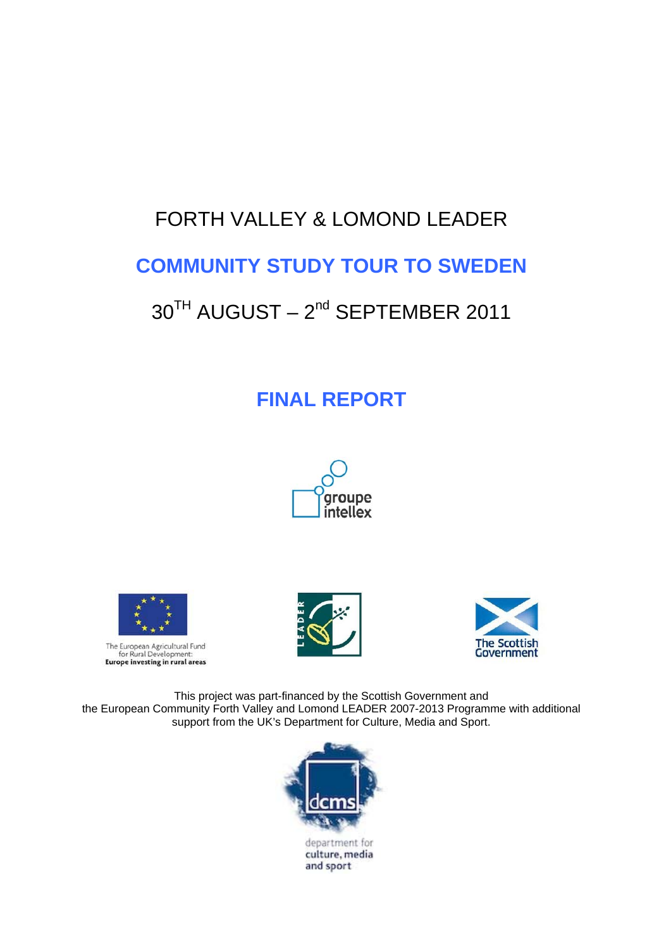# FORTH VALLEY & LOMOND LEADER

# **COMMUNITY STUDY TOUR TO SWEDEN**

# 30<sup>TH</sup> AUGUST – 2<sup>nd</sup> SEPTEMBER 2011

# **FINAL REPORT**









This project was part-financed by the Scottish Government and the European Community Forth Valley and Lomond LEADER 2007-2013 Programme with additional support from the UK's Department for Culture, Media and Sport.



culture, media and sport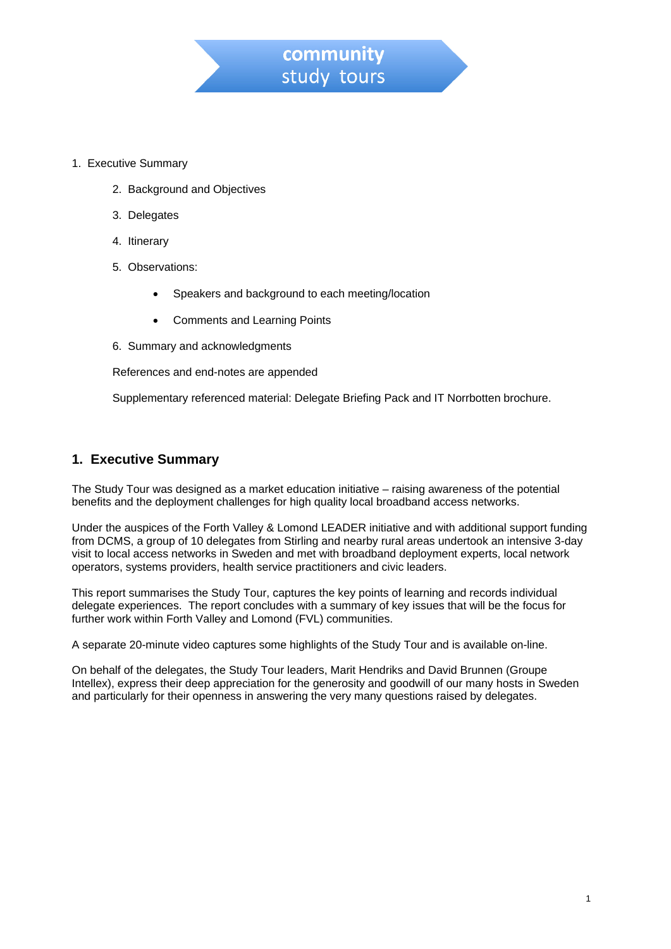

- 1. Executive Summary
	- 2. Background and Objectives
	- 3. Delegates
	- 4. Itinerary
	- 5. Observations:
		- Speakers and background to each meeting/location
		- Comments and Learning Points
	- 6. Summary and acknowledgments

References and end-notes are appended

Supplementary referenced material: Delegate Briefing Pack and IT Norrbotten brochure.

## **1. Executive Summary**

The Study Tour was designed as a market education initiative – raising awareness of the potential benefits and the deployment challenges for high quality local broadband access networks.

Under the auspices of the Forth Valley & Lomond LEADER initiative and with additional support funding from DCMS, a group of 10 delegates from Stirling and nearby rural areas undertook an intensive 3-day visit to local access networks in Sweden and met with broadband deployment experts, local network operators, systems providers, health service practitioners and civic leaders.

This report summarises the Study Tour, captures the key points of learning and records individual delegate experiences. The report concludes with a summary of key issues that will be the focus for further work within Forth Valley and Lomond (FVL) communities.

A separate 20-minute video captures some highlights of the Study Tour and is available on-line.

On behalf of the delegates, the Study Tour leaders, Marit Hendriks and David Brunnen (Groupe Intellex), express their deep appreciation for the generosity and goodwill of our many hosts in Sweden and particularly for their openness in answering the very many questions raised by delegates.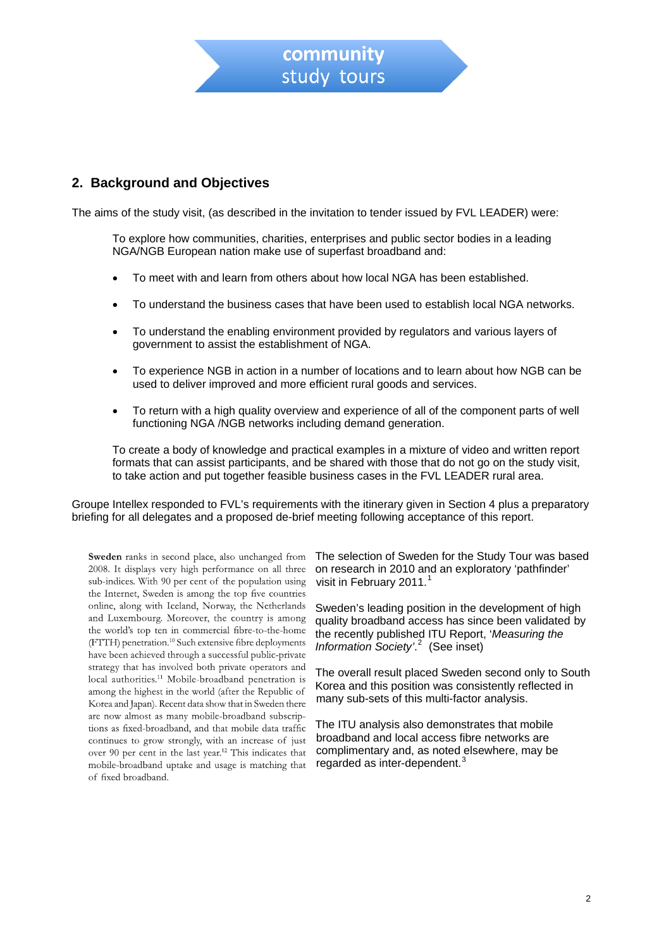# **2. Background and Objectives**

The aims of the study visit, (as described in the invitation to tender issued by FVL LEADER) were:

To explore how communities, charities, enterprises and public sector bodies in a leading NGA/NGB European nation make use of superfast broadband and:

- To meet with and learn from others about how local NGA has been established.
- To understand the business cases that have been used to establish local NGA networks.
- To understand the enabling environment provided by regulators and various layers of government to assist the establishment of NGA.
- To experience NGB in action in a number of locations and to learn about how NGB can be used to deliver improved and more efficient rural goods and services.
- To return with a high quality overview and experience of all of the component parts of well functioning NGA / NGB networks including demand generation.

To create a body of knowledge and practical examples in a mixture of video and written report formats that can assist participants, and be shared with those that do not go on the study visit, to take action and put together feasible business cases in the FVL LEADER rural area.

Groupe Intellex responded to FVL's requirements with the itinerary given in Section 4 plus a preparatory briefing for all delegates and a proposed de-brief meeting following acceptance of this report.

Sweden ranks in second place, also unchanged from 2008. It displays very high performance on all three sub-indices. With 90 per cent of the population using the Internet, Sweden is among the top five countries online, along with Iceland, Norway, the Netherlands and Luxembourg. Moreover, the country is among the world's top ten in commercial fibre-to-the-home (FTTH) penetration.<sup>10</sup> Such extensive fibre deployments have been achieved through a successful public-private strategy that has involved both private operators and local authorities.<sup>11</sup> Mobile-broadband penetration is among the highest in the world (after the Republic of Korea and Japan). Recent data show that in Sweden there are now almost as many mobile-broadband subscriptions as fixed-broadband, and that mobile data traffic continues to grow strongly, with an increase of just over 90 per cent in the last year.<sup>12</sup> This indicates that mobile-broadband uptake and usage is matching that of fixed broadband.

The selection of Sweden for the Study Tour was based on research in 2010 and an exploratory 'pathfinder' visit in February 20[1](#page-18-0)1.<sup>1</sup>

Sweden's leading position in the development of high quality broadband access has since been validated by the recently published ITU Report, '*Measuring the Information Society'*. [2](#page-18-1) (See inset)

The overall result placed Sweden second only to South Korea and this position was consistently reflected in many sub-sets of this multi-factor analysis.

The ITU analysis also demonstrates that mobile broadband and local access fibre networks are complimentary and, as noted elsewhere, may be regarded as inter-dependent.<sup>[3](#page-18-1)</sup>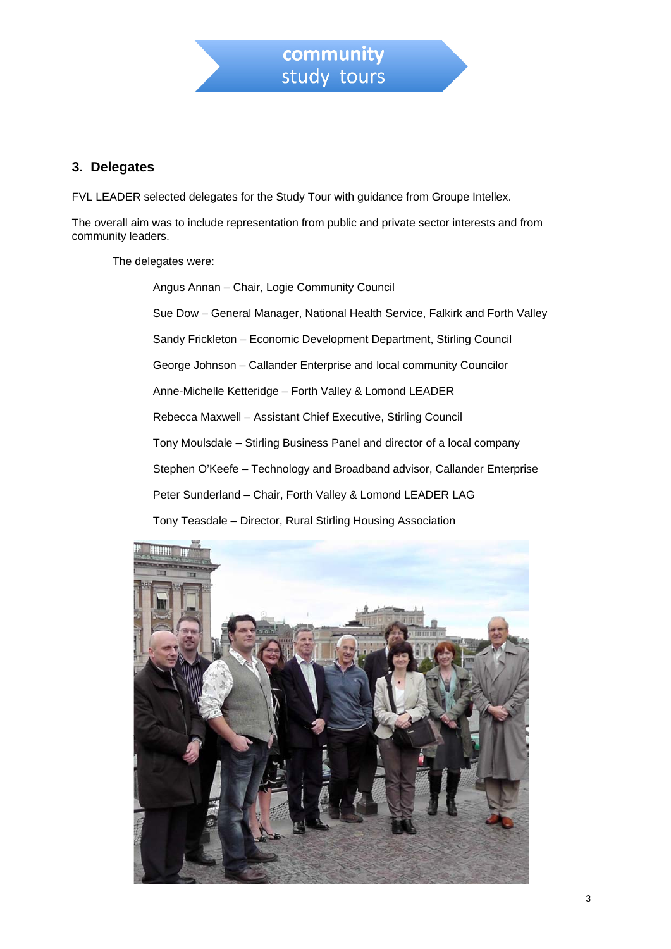

## **3. Delegates**

FVL LEADER selected delegates for the Study Tour with guidance from Groupe Intellex.

The overall aim was to include representation from public and private sector interests and from community leaders.

The delegates were:

Angus Annan – Chair, Logie Community Council Sue Dow – General Manager, National Health Service, Falkirk and Forth Valley Sandy Frickleton – Economic Development Department, Stirling Council George Johnson – Callander Enterprise and local community Councilor Anne-Michelle Ketteridge – Forth Valley & Lomond LEADER Rebecca Maxwell – Assistant Chief Executive, Stirling Council Tony Moulsdale – Stirling Business Panel and director of a local company Stephen O'Keefe – Technology and Broadband advisor, Callander Enterprise Peter Sunderland – Chair, Forth Valley & Lomond LEADER LAG

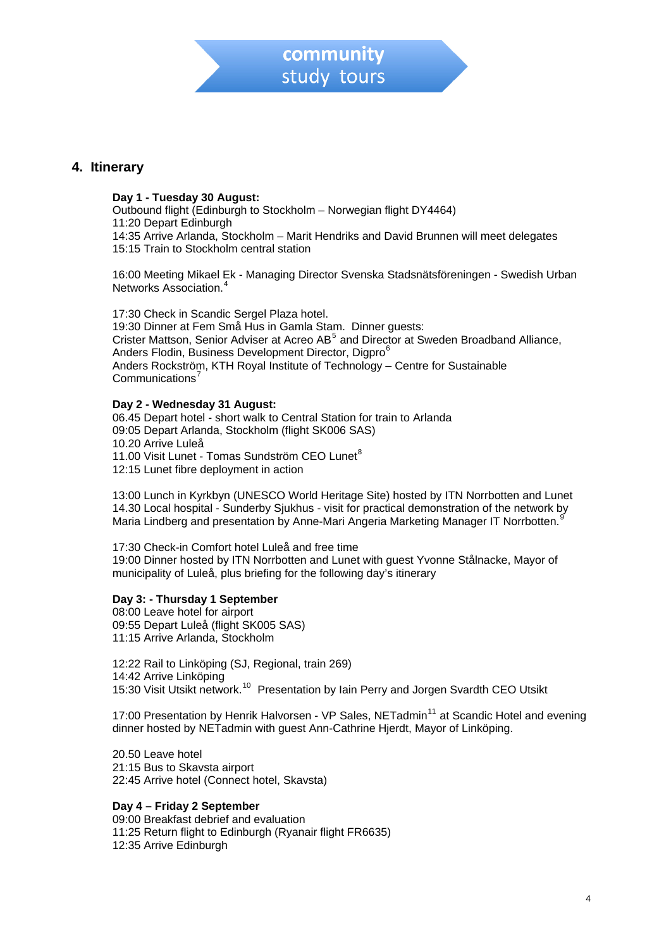

## **4. Itinerary**

#### **Day 1 - Tuesday 30 August:**

Outbound flight (Edinburgh to Stockholm – Norwegian flight DY4464) 11:20 Depart Edinburgh 14:35 Arrive Arlanda, Stockholm – Marit Hendriks and David Brunnen will meet delegates 15:15 Train to Stockholm central station

16:00 Meeting Mikael Ek - Managing Director Svenska Stadsnätsföreningen - Swedish Urban Networks Association.[4](#page-18-1)

17:30 Check in Scandic Sergel Plaza hotel. 19:30 Dinner at Fem Små Hus in Gamla Stam. Dinner guests: Crister Mattson, Senior Adviser at Acreo AB<sup>[5](#page-18-1)</sup> and Director at Sweden Broadband Alliance, Anders Flodin, Business Development Director, Digpro<sup>[6](#page-18-1)</sup> Anders Rockström, KTH Royal Institute of Technology – Centre for Sustainable Communications<sup>[7](#page-18-1)</sup>

#### **Day 2 - Wednesday 31 August:**

06.45 Depart hotel - short walk to Central Station for train to Arlanda 09:05 Depart Arlanda, Stockholm (flight SK006 SAS) 10.20 Arrive Luleå 11.00 Visit Lunet - Tomas Sundström CEO Lunet<sup>[8](#page-18-1)</sup> 12:15 Lunet fibre deployment in action

13:00 Lunch in Kyrkbyn (UNESCO World Heritage Site) hosted by ITN Norrbotten and Lunet 14.30 Local hospital - Sunderby Sjukhus - visit for practical demonstration of the network by Maria Lindberg and presentation by Anne-Mari Angeria Marketing Manager IT Norrbotten.[9](#page-18-1)

17:30 Check-in Comfort hotel Luleå and free time 19:00 Dinner hosted by ITN Norrbotten and Lunet with guest Yvonne Stålnacke, Mayor of municipality of Luleå, plus briefing for the following day's itinerary

#### **Day 3: - Thursday 1 September**

08:00 Leave hotel for airport 09:55 Depart Luleå (flight SK005 SAS) 11:15 Arrive Arlanda, Stockholm

12:22 Rail to Linköping (SJ, Regional, train 269) 14:42 Arrive Linköping 15:30 Visit Utsikt network.[10](#page-18-1) Presentation by Iain Perry and Jorgen Svardth CEO Utsikt

17:00 Presentation by Henrik Halvorsen - VP Sales, NETadmin<sup>[11](#page-18-1)</sup> at Scandic Hotel and evening dinner hosted by NETadmin with guest Ann-Cathrine Hjerdt, Mayor of Linköping.

20.50 Leave hotel 21:15 Bus to Skavsta airport 22:45 Arrive hotel (Connect hotel, Skavsta)

#### **Day 4 – Friday 2 September**

09:00 Breakfast debrief and evaluation 11:25 Return flight to Edinburgh (Ryanair flight FR6635) 12:35 Arrive Edinburgh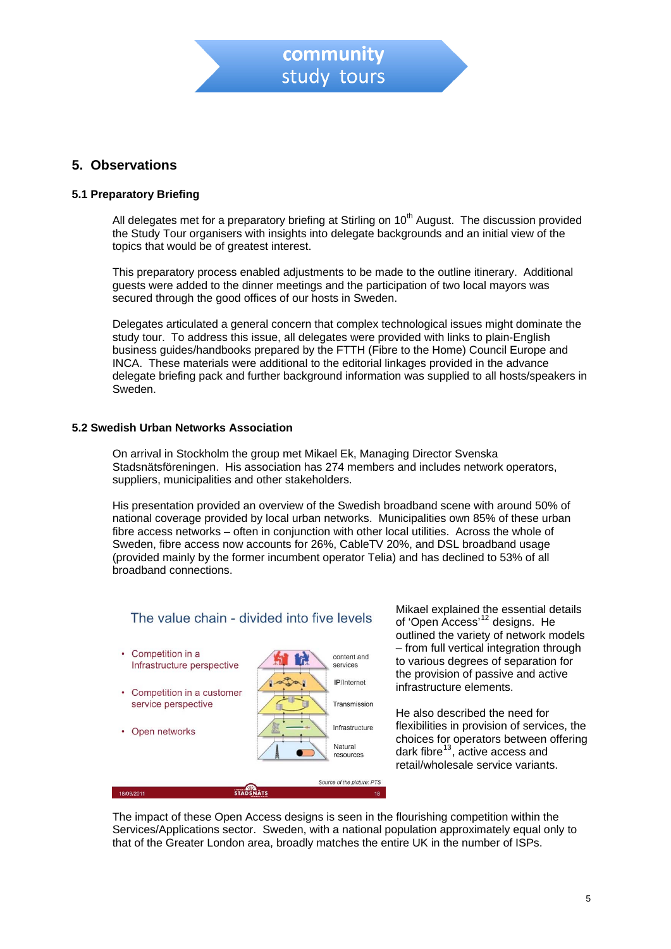

# **5. Observations**

#### **5.1 Preparatory Briefing**

All delegates met for a preparatory briefing at Stirling on  $10<sup>th</sup>$  August. The discussion provided the Study Tour organisers with insights into delegate backgrounds and an initial view of the topics that would be of greatest interest.

This preparatory process enabled adjustments to be made to the outline itinerary. Additional guests were added to the dinner meetings and the participation of two local mayors was secured through the good offices of our hosts in Sweden.

Delegates articulated a general concern that complex technological issues might dominate the study tour. To address this issue, all delegates were provided with links to plain-English business guides/handbooks prepared by the FTTH (Fibre to the Home) Council Europe and INCA. These materials were additional to the editorial linkages provided in the advance delegate briefing pack and further background information was supplied to all hosts/speakers in Sweden.

#### **5.2 Swedish Urban Networks Association**

On arrival in Stockholm the group met Mikael Ek, Managing Director Svenska Stadsnätsföreningen. His association has 274 members and includes network operators, suppliers, municipalities and other stakeholders.

His presentation provided an overview of the Swedish broadband scene with around 50% of national coverage provided by local urban networks. Municipalities own 85% of these urban fibre access networks – often in conjunction with other local utilities. Across the whole of Sweden, fibre access now accounts for 26%, CableTV 20%, and DSL broadband usage (provided mainly by the former incumbent operator Telia) and has declined to 53% of all broadband connections.



Mikael explained the essential details of 'Open Access'[12](#page-18-1) designs. He outlined the variety of network models – from full vertical integration through to various degrees of separation for the provision of passive and active infrastructure elements.

He also described the need for flexibilities in provision of services, the choices for operators between offering dark fibre $^{13}$  $^{13}$  $^{13}$ , active access and retail/wholesale service variants.

The impact of these Open Access designs is seen in the flourishing competition within the Services/Applications sector. Sweden, with a national population approximately equal only to that of the Greater London area, broadly matches the entire UK in the number of ISPs.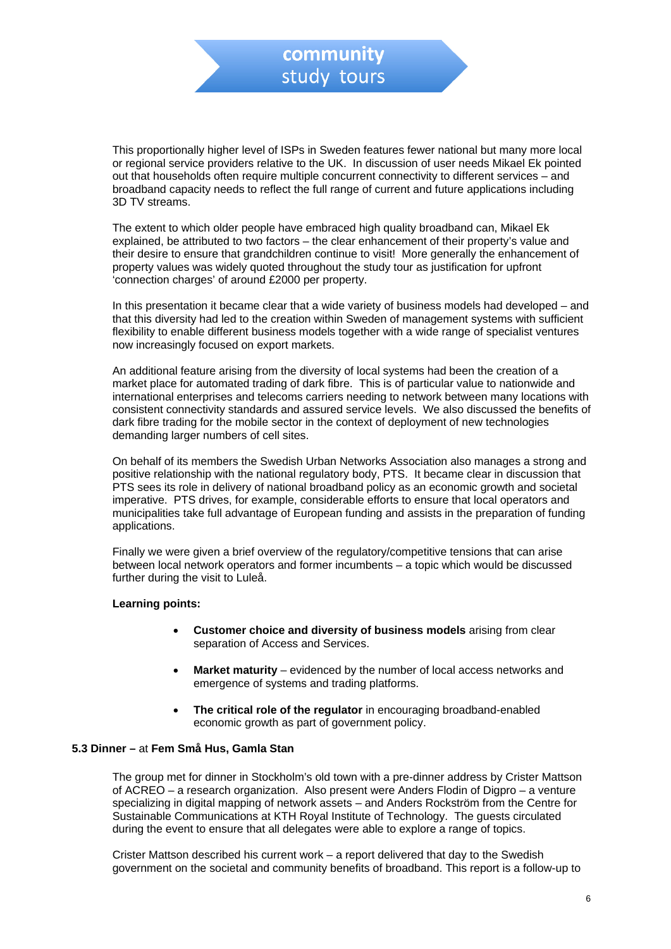This proportionally higher level of ISPs in Sweden features fewer national but many more local or regional service providers relative to the UK. In discussion of user needs Mikael Ek pointed out that households often require multiple concurrent connectivity to different services – and broadband capacity needs to reflect the full range of current and future applications including 3D TV streams.

The extent to which older people have embraced high quality broadband can, Mikael Ek explained, be attributed to two factors – the clear enhancement of their property's value and their desire to ensure that grandchildren continue to visit! More generally the enhancement of property values was widely quoted throughout the study tour as justification for upfront 'connection charges' of around £2000 per property.

In this presentation it became clear that a wide variety of business models had developed – and that this diversity had led to the creation within Sweden of management systems with sufficient flexibility to enable different business models together with a wide range of specialist ventures now increasingly focused on export markets.

An additional feature arising from the diversity of local systems had been the creation of a market place for automated trading of dark fibre. This is of particular value to nationwide and international enterprises and telecoms carriers needing to network between many locations with consistent connectivity standards and assured service levels. We also discussed the benefits of dark fibre trading for the mobile sector in the context of deployment of new technologies demanding larger numbers of cell sites.

On behalf of its members the Swedish Urban Networks Association also manages a strong and positive relationship with the national regulatory body, PTS. It became clear in discussion that PTS sees its role in delivery of national broadband policy as an economic growth and societal imperative. PTS drives, for example, considerable efforts to ensure that local operators and municipalities take full advantage of European funding and assists in the preparation of funding applications.

Finally we were given a brief overview of the regulatory/competitive tensions that can arise between local network operators and former incumbents – a topic which would be discussed further during the visit to Luleå.

#### **Learning points:**

- **Customer choice and diversity of business models** arising from clear separation of Access and Services.
- **Market maturity** evidenced by the number of local access networks and emergence of systems and trading platforms.
- **The critical role of the regulator** in encouraging broadband-enabled economic growth as part of government policy.

#### **5.3 Dinner –** at **Fem Små Hus, Gamla Stan**

The group met for dinner in Stockholm's old town with a pre-dinner address by Crister Mattson of ACREO – a research organization. Also present were Anders Flodin of Digpro – a venture specializing in digital mapping of network assets – and Anders Rockström from the Centre for Sustainable Communications at KTH Royal Institute of Technology. The guests circulated during the event to ensure that all delegates were able to explore a range of topics.

Crister Mattson described his current work – a report delivered that day to the Swedish government on the societal and community benefits of broadband. This report is a follow-up to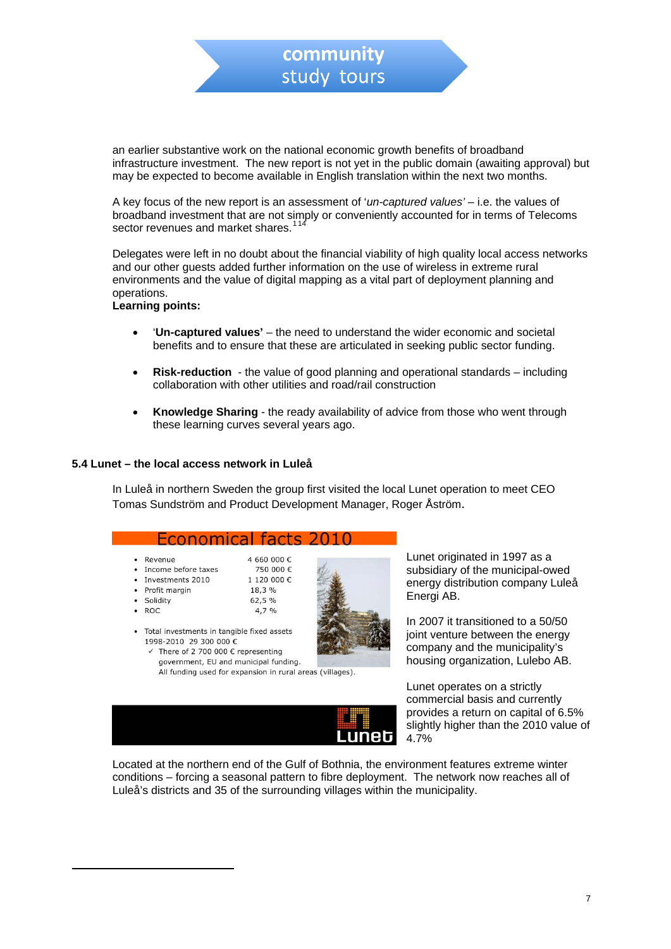<span id="page-7-0"></span>an earlier substantive work on the national economic growth benefits of broadband infrastructure investment. The new report is not yet in the public domain (awaiting approval) but may be expected to become available in English translation within the next two months.

A key focus of the new report is an assessment of '*un-captured values'* – i.e. the values of broadband investment that are not simply or conveniently accounted for in terms of Telecoms sector revenues and market shares.<sup>[1](#page-7-0)[14](#page-18-1)</sup>

Delegates were left in no doubt about the financial viability of high quality local access networks and our other guests added further information on the use of wireless in extreme rural environments and the value of digital mapping as a vital part of deployment planning and operations.

#### **Learning points:**

- '**Un-captured values'** the need to understand the wider economic and societal benefits and to ensure that these are articulated in seeking public sector funding.
- **Risk-reduction** the value of good planning and operational standards including collaboration with other utilities and road/rail construction
- **Knowledge Sharing** the ready availability of advice from those who went through these learning curves several years ago.

#### **5.4 Lunet – the local access network in Luleå**

1998-2010 29 300 000 €

 $\checkmark$  There of 2 700 000 € representing government, EU and municipal funding.

In Luleå in northern Sweden the group first visited the local Lunet operation to meet CEO Tomas Sundström and Product Development Manager, Roger Åström.



All funding used for expansion in rural areas (villages).

Lunet originated in 1997 as a subsidiary of the municipal-owed energy distribution company Luleå Energi AB.

In 2007 it transitioned to a 50/50 joint venture between the energy company and the municipality's housing organization, Lulebo AB.

 Lunet operates on a strictly commercial basis and currently provides a return on capital of 6.5% slightly higher than the 2010 value of 4.7%

Located at the northern end of the Gulf of Bothnia, the environment features extreme winter conditions – forcing a seasonal pattern to fibre deployment. The network now reaches all of Luleå's districts and 35 of the surrounding villages within the municipality.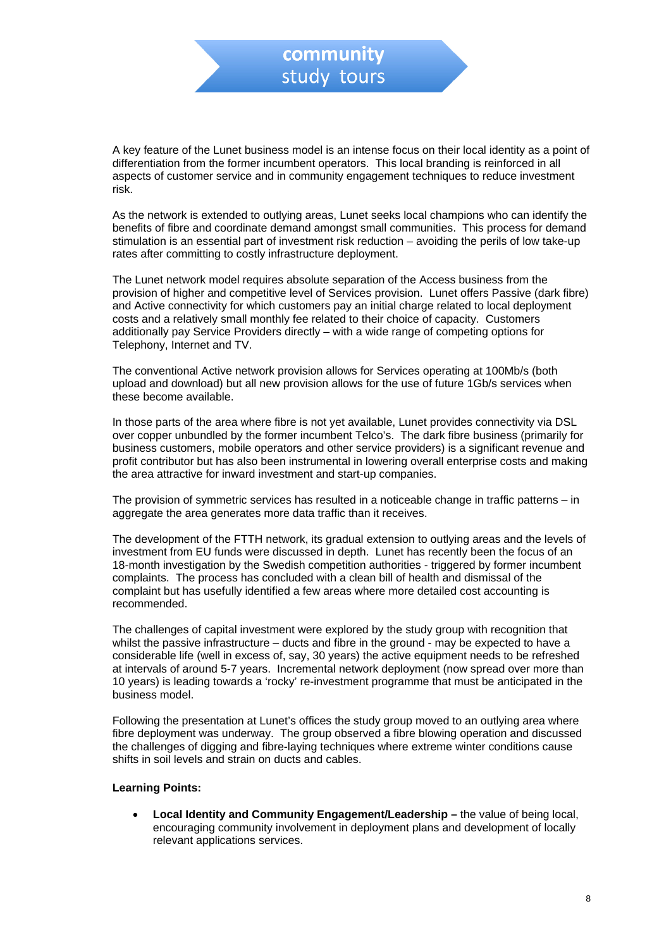A key feature of the Lunet business model is an intense focus on their local identity as a point of differentiation from the former incumbent operators. This local branding is reinforced in all aspects of customer service and in community engagement techniques to reduce investment risk.

As the network is extended to outlying areas, Lunet seeks local champions who can identify the benefits of fibre and coordinate demand amongst small communities. This process for demand stimulation is an essential part of investment risk reduction – avoiding the perils of low take-up rates after committing to costly infrastructure deployment.

The Lunet network model requires absolute separation of the Access business from the provision of higher and competitive level of Services provision. Lunet offers Passive (dark fibre) and Active connectivity for which customers pay an initial charge related to local deployment costs and a relatively small monthly fee related to their choice of capacity. Customers additionally pay Service Providers directly – with a wide range of competing options for Telephony, Internet and TV.

The conventional Active network provision allows for Services operating at 100Mb/s (both upload and download) but all new provision allows for the use of future 1Gb/s services when these become available.

In those parts of the area where fibre is not yet available, Lunet provides connectivity via DSL over copper unbundled by the former incumbent Telco's. The dark fibre business (primarily for business customers, mobile operators and other service providers) is a significant revenue and profit contributor but has also been instrumental in lowering overall enterprise costs and making the area attractive for inward investment and start-up companies.

The provision of symmetric services has resulted in a noticeable change in traffic patterns – in aggregate the area generates more data traffic than it receives.

The development of the FTTH network, its gradual extension to outlying areas and the levels of investment from EU funds were discussed in depth. Lunet has recently been the focus of an 18-month investigation by the Swedish competition authorities - triggered by former incumbent complaints. The process has concluded with a clean bill of health and dismissal of the complaint but has usefully identified a few areas where more detailed cost accounting is recommended.

The challenges of capital investment were explored by the study group with recognition that whilst the passive infrastructure – ducts and fibre in the ground - may be expected to have a considerable life (well in excess of, say, 30 years) the active equipment needs to be refreshed at intervals of around 5-7 years. Incremental network deployment (now spread over more than 10 years) is leading towards a 'rocky' re-investment programme that must be anticipated in the business model.

Following the presentation at Lunet's offices the study group moved to an outlying area where fibre deployment was underway. The group observed a fibre blowing operation and discussed the challenges of digging and fibre-laying techniques where extreme winter conditions cause shifts in soil levels and strain on ducts and cables.

#### **Learning Points:**

**Local Identity and Community Engagement/Leadership –** the value of being local, encouraging community involvement in deployment plans and development of locally relevant applications services.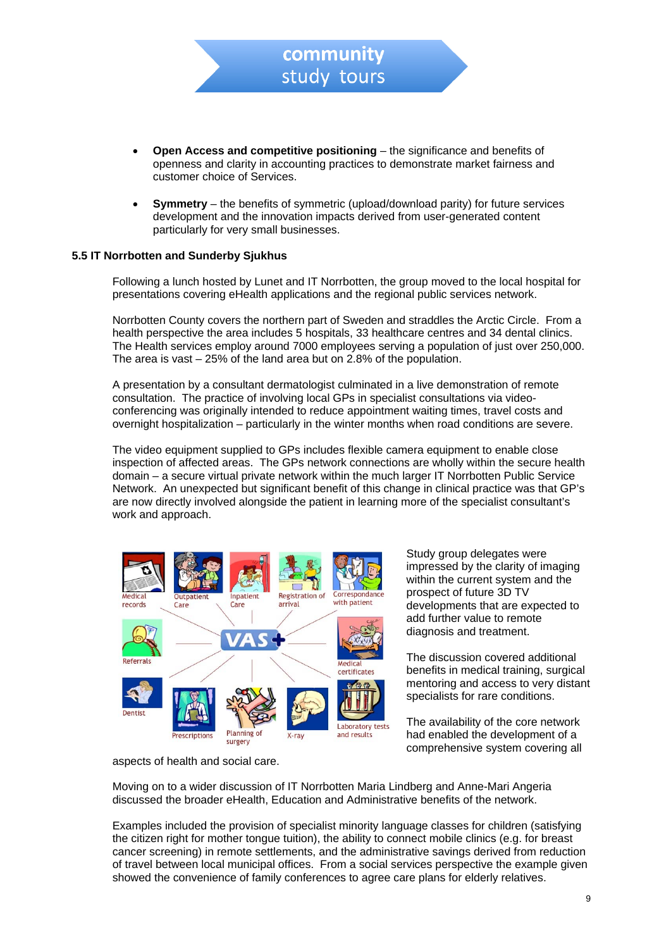**Open Access and competitive positioning** – the significance and benefits of openness and clarity in accounting practices to demonstrate market fairness and customer choice of Services.

community study tours

• **Symmetry** – the benefits of symmetric (upload/download parity) for future services development and the innovation impacts derived from user-generated content particularly for very small businesses.

#### **5.5 IT Norrbotten and Sunderby Sjukhus**

Following a lunch hosted by Lunet and IT Norrbotten, the group moved to the local hospital for presentations covering eHealth applications and the regional public services network.

Norrbotten County covers the northern part of Sweden and straddles the Arctic Circle. From a health perspective the area includes 5 hospitals, 33 healthcare centres and 34 dental clinics. The Health services employ around 7000 employees serving a population of just over 250,000. The area is vast – 25% of the land area but on 2.8% of the population.

A presentation by a consultant dermatologist culminated in a live demonstration of remote consultation. The practice of involving local GPs in specialist consultations via videoconferencing was originally intended to reduce appointment waiting times, travel costs and overnight hospitalization – particularly in the winter months when road conditions are severe.

The video equipment supplied to GPs includes flexible camera equipment to enable close inspection of affected areas. The GPs network connections are wholly within the secure health domain – a secure virtual private network within the much larger IT Norrbotten Public Service Network. An unexpected but significant benefit of this change in clinical practice was that GP's are now directly involved alongside the patient in learning more of the specialist consultant's work and approach.



Study group delegates were impressed by the clarity of imaging within the current system and the prospect of future 3D TV developments that are expected to add further value to remote diagnosis and treatment.

The discussion covered additional benefits in medical training, surgical mentoring and access to very distant specialists for rare conditions.

The availability of the core network had enabled the development of a comprehensive system covering all

aspects of health and social care.

Moving on to a wider discussion of IT Norrbotten Maria Lindberg and Anne-Mari Angeria discussed the broader eHealth, Education and Administrative benefits of the network.

Examples included the provision of specialist minority language classes for children (satisfying the citizen right for mother tongue tuition), the ability to connect mobile clinics (e.g. for breast cancer screening) in remote settlements, and the administrative savings derived from reduction of travel between local municipal offices. From a social services perspective the example given showed the convenience of family conferences to agree care plans for elderly relatives.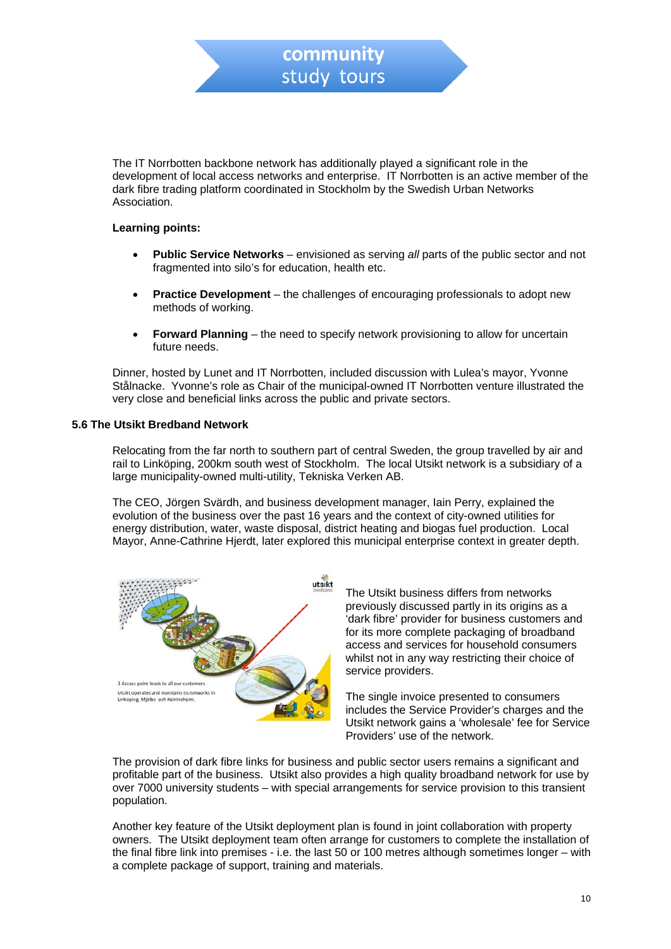The IT Norrbotten backbone network has additionally played a significant role in the development of local access networks and enterprise. IT Norrbotten is an active member of the dark fibre trading platform coordinated in Stockholm by the Swedish Urban Networks Association.

community study tours

#### **Learning points:**

- **Public Service Networks** envisioned as serving *all* parts of the public sector and not fragmented into silo's for education, health etc.
- **Practice Development**  the challenges of encouraging professionals to adopt new methods of working.
- **Forward Planning** the need to specify network provisioning to allow for uncertain future needs.

Dinner, hosted by Lunet and IT Norrbotten, included discussion with Lulea's mayor, Yvonne Stålnacke. Yvonne's role as Chair of the municipal-owned IT Norrbotten venture illustrated the very close and beneficial links across the public and private sectors.

#### **5.6 The Utsikt Bredband Network**

Relocating from the far north to southern part of central Sweden, the group travelled by air and rail to Linköping, 200km south west of Stockholm. The local Utsikt network is a subsidiary of a large municipality-owned multi-utility, Tekniska Verken AB.

The CEO, Jörgen Svärdh, and business development manager, Iain Perry, explained the evolution of the business over the past 16 years and the context of city-owned utilities for energy distribution, water, waste disposal, district heating and biogas fuel production. Local Mayor, Anne-Cathrine Hjerdt, later explored this municipal enterprise context in greater depth.



The Utsikt business differs from networks previously discussed partly in its origins as a 'dark fibre' provider for business customers and for its more complete packaging of broadband access and services for household consumers whilst not in any way restricting their choice of service providers.

The single invoice presented to consumers includes the Service Provider's charges and the Utsikt network gains a 'wholesale' fee for Service Providers' use of the network.

The provision of dark fibre links for business and public sector users remains a significant and profitable part of the business. Utsikt also provides a high quality broadband network for use by over 7000 university students – with special arrangements for service provision to this transient population.

Another key feature of the Utsikt deployment plan is found in joint collaboration with property owners. The Utsikt deployment team often arrange for customers to complete the installation of the final fibre link into premises - i.e. the last 50 or 100 metres although sometimes longer – with a complete package of support, training and materials.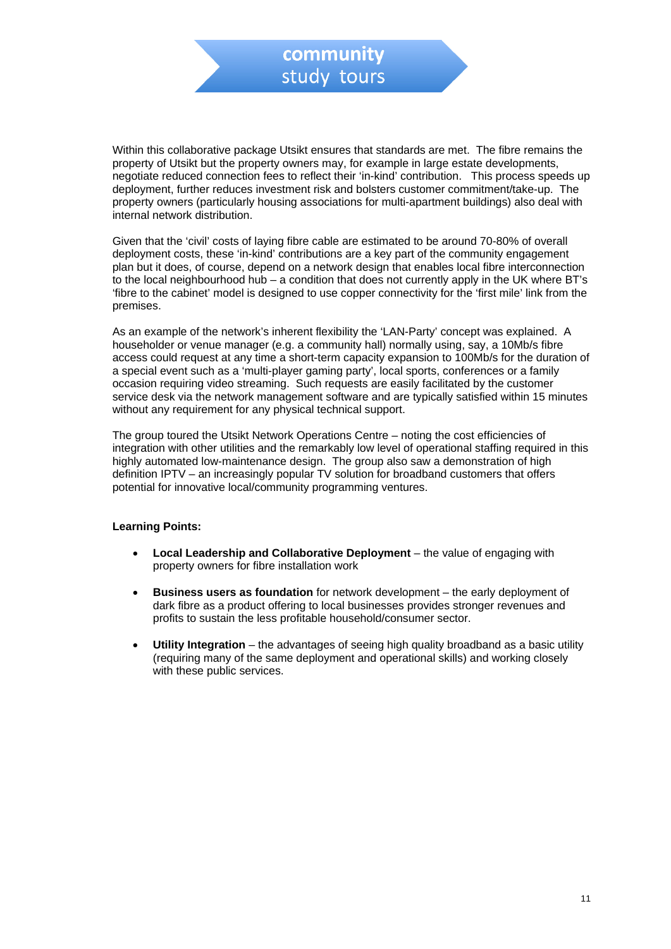Within this collaborative package Utsikt ensures that standards are met. The fibre remains the property of Utsikt but the property owners may, for example in large estate developments, negotiate reduced connection fees to reflect their 'in-kind' contribution. This process speeds up deployment, further reduces investment risk and bolsters customer commitment/take-up. The property owners (particularly housing associations for multi-apartment buildings) also deal with internal network distribution.

Given that the 'civil' costs of laying fibre cable are estimated to be around 70-80% of overall deployment costs, these 'in-kind' contributions are a key part of the community engagement plan but it does, of course, depend on a network design that enables local fibre interconnection to the local neighbourhood hub – a condition that does not currently apply in the UK where BT's 'fibre to the cabinet' model is designed to use copper connectivity for the 'first mile' link from the premises.

As an example of the network's inherent flexibility the 'LAN-Party' concept was explained. A householder or venue manager (e.g. a community hall) normally using, say, a 10Mb/s fibre access could request at any time a short-term capacity expansion to 100Mb/s for the duration of a special event such as a 'multi-player gaming party', local sports, conferences or a family occasion requiring video streaming. Such requests are easily facilitated by the customer service desk via the network management software and are typically satisfied within 15 minutes without any requirement for any physical technical support.

The group toured the Utsikt Network Operations Centre – noting the cost efficiencies of integration with other utilities and the remarkably low level of operational staffing required in this highly automated low-maintenance design. The group also saw a demonstration of high definition IPTV – an increasingly popular TV solution for broadband customers that offers potential for innovative local/community programming ventures.

#### **Learning Points:**

- **Local Leadership and Collaborative Deployment** the value of engaging with property owners for fibre installation work
- **Business users as foundation** for network development the early deployment of dark fibre as a product offering to local businesses provides stronger revenues and profits to sustain the less profitable household/consumer sector.
- **Utility Integration** the advantages of seeing high quality broadband as a basic utility (requiring many of the same deployment and operational skills) and working closely with these public services.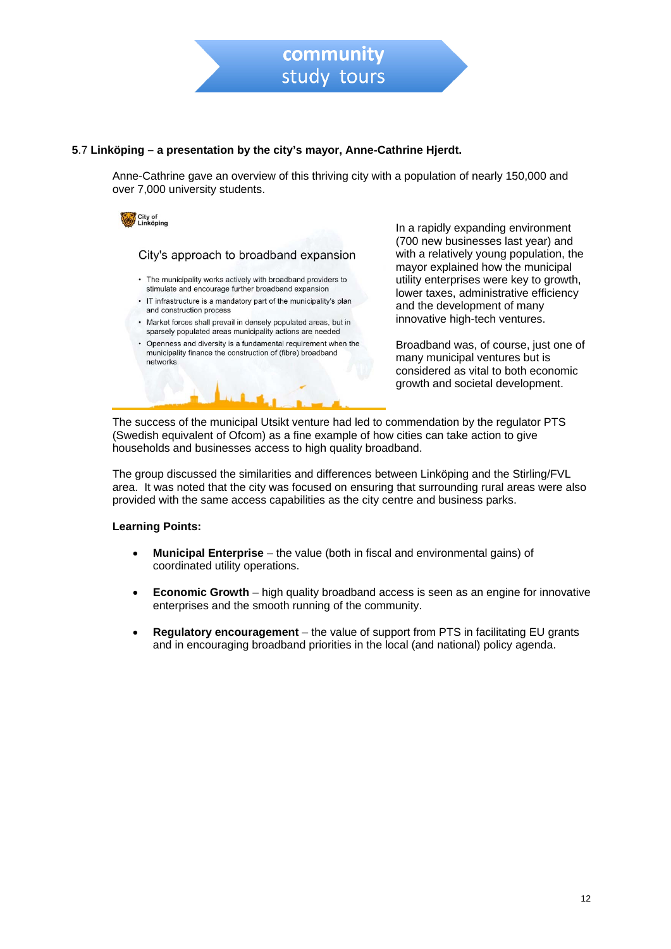

#### **5**.7 **Linköping – a presentation by the city's mayor, Anne-Cathrine Hjerdt.**

Anne-Cathrine gave an overview of this thriving city with a population of nearly 150,000 and over 7,000 university students.



City's approach to broadband expansion

- The municipality works actively with broadband providers to stimulate and encourage further broadband expansion
- IT infrastructure is a mandatory part of the municipality's plan and construction process
- Market forces shall prevail in densely populated areas, but in sparsely populated areas municipality actions are needed
- Openness and diversity is a fundamental requirement when the municipality finance the construction of (fibre) broadband networks

In a rapidly expanding environment (700 new businesses last year) and with a relatively young population, the mayor explained how the municipal utility enterprises were key to growth, lower taxes, administrative efficiency and the development of many innovative high-tech ventures.

Broadband was, of course, just one of many municipal ventures but is considered as vital to both economic growth and societal development.

The success of the municipal Utsikt venture had led to commendation by the regulator PTS (Swedish equivalent of Ofcom) as a fine example of how cities can take action to give households and businesses access to high quality broadband.

The group discussed the similarities and differences between Linköping and the Stirling/FVL area. It was noted that the city was focused on ensuring that surrounding rural areas were also provided with the same access capabilities as the city centre and business parks.

#### **Learning Points:**

- **Municipal Enterprise** the value (both in fiscal and environmental gains) of coordinated utility operations.
- **Economic Growth** high quality broadband access is seen as an engine for innovative enterprises and the smooth running of the community.
- **Regulatory encouragement** the value of support from PTS in facilitating EU grants and in encouraging broadband priorities in the local (and national) policy agenda.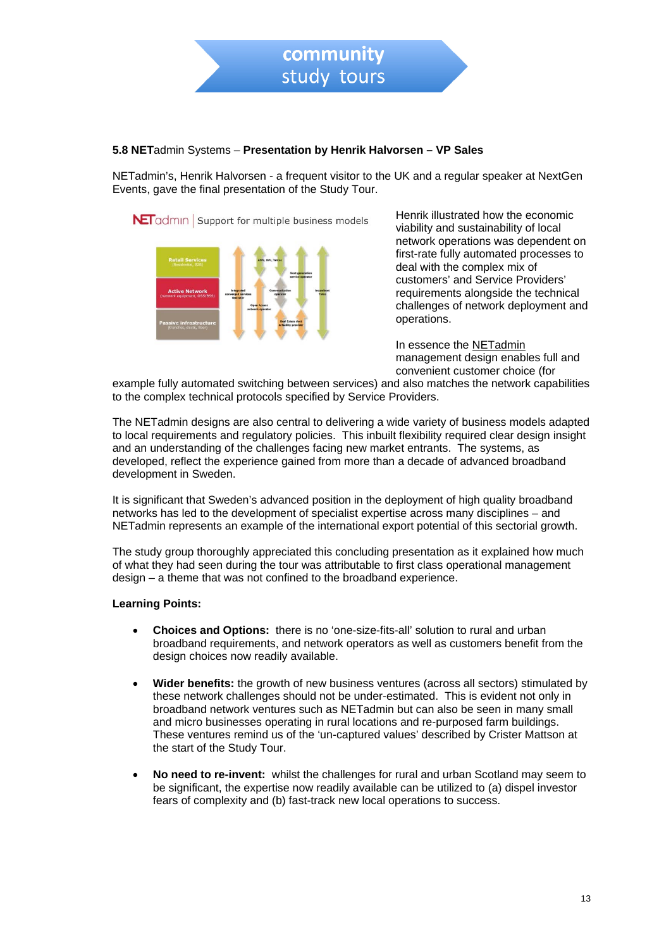

#### **5.8 NET**admin Systems – **Presentation by Henrik Halvorsen – VP Sales**

NETadmin's, Henrik Halvorsen - a frequent visitor to the UK and a regular speaker at NextGen Events, gave the final presentation of the Study Tour.

NetTadmin Support for multiple business models



Henrik illustrated how the economic viability and sustainability of local network operations was dependent on first-rate fully automated processes to deal with the complex mix of customers' and Service Providers' requirements alongside the technical challenges of network deployment and operations.

In essence the [NETadmin](http://www.netadminsystems.com/) management design enables full and convenient customer choice (for

example fully automated switching between services) and also matches the network capabilities to the complex technical protocols specified by Service Providers.

The NETadmin designs are also central to delivering a wide variety of business models adapted to local requirements and regulatory policies. This inbuilt flexibility required clear design insight and an understanding of the challenges facing new market entrants. The systems, as developed, reflect the experience gained from more than a decade of advanced broadband development in Sweden.

It is significant that Sweden's advanced position in the deployment of high quality broadband networks has led to the development of specialist expertise across many disciplines – and NETadmin represents an example of the international export potential of this sectorial growth.

The study group thoroughly appreciated this concluding presentation as it explained how much of what they had seen during the tour was attributable to first class operational management design – a theme that was not confined to the broadband experience.

#### **Learning Points:**

- **Choices and Options:** there is no 'one-size-fits-all' solution to rural and urban broadband requirements, and network operators as well as customers benefit from the design choices now readily available.
- **Wider benefits:** the growth of new business ventures (across all sectors) stimulated by these network challenges should not be under-estimated. This is evident not only in broadband network ventures such as NETadmin but can also be seen in many small and micro businesses operating in rural locations and re-purposed farm buildings. These ventures remind us of the 'un-captured values' described by Crister Mattson at the start of the Study Tour.
- **No need to re-invent:** whilst the challenges for rural and urban Scotland may seem to be significant, the expertise now readily available can be utilized to (a) dispel investor fears of complexity and (b) fast-track new local operations to success.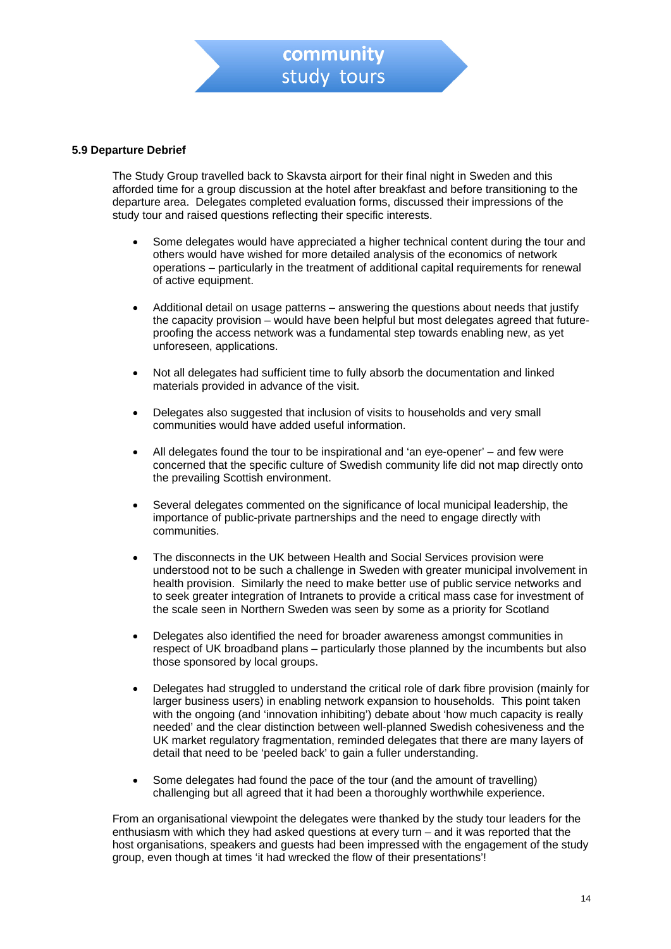#### **5.9 Departure Debrief**

The Study Group travelled back to Skavsta airport for their final night in Sweden and this afforded time for a group discussion at the hotel after breakfast and before transitioning to the departure area. Delegates completed evaluation forms, discussed their impressions of the study tour and raised questions reflecting their specific interests.

- Some delegates would have appreciated a higher technical content during the tour and others would have wished for more detailed analysis of the economics of network operations – particularly in the treatment of additional capital requirements for renewal of active equipment.
- Additional detail on usage patterns answering the questions about needs that justify the capacity provision – would have been helpful but most delegates agreed that futureproofing the access network was a fundamental step towards enabling new, as yet unforeseen, applications.
- Not all delegates had sufficient time to fully absorb the documentation and linked materials provided in advance of the visit.
- Delegates also suggested that inclusion of visits to households and very small communities would have added useful information.
- All delegates found the tour to be inspirational and 'an eye-opener' and few were concerned that the specific culture of Swedish community life did not map directly onto the prevailing Scottish environment.
- Several delegates commented on the significance of local municipal leadership, the importance of public-private partnerships and the need to engage directly with communities.
- The disconnects in the UK between Health and Social Services provision were understood not to be such a challenge in Sweden with greater municipal involvement in health provision. Similarly the need to make better use of public service networks and to seek greater integration of Intranets to provide a critical mass case for investment of the scale seen in Northern Sweden was seen by some as a priority for Scotland
- Delegates also identified the need for broader awareness amongst communities in respect of UK broadband plans – particularly those planned by the incumbents but also those sponsored by local groups.
- Delegates had struggled to understand the critical role of dark fibre provision (mainly for larger business users) in enabling network expansion to households. This point taken with the ongoing (and 'innovation inhibiting') debate about 'how much capacity is really needed' and the clear distinction between well-planned Swedish cohesiveness and the UK market regulatory fragmentation, reminded delegates that there are many layers of detail that need to be 'peeled back' to gain a fuller understanding.
- Some delegates had found the pace of the tour (and the amount of travelling) challenging but all agreed that it had been a thoroughly worthwhile experience.

From an organisational viewpoint the delegates were thanked by the study tour leaders for the enthusiasm with which they had asked questions at every turn – and it was reported that the host organisations, speakers and guests had been impressed with the engagement of the study group, even though at times 'it had wrecked the flow of their presentations'!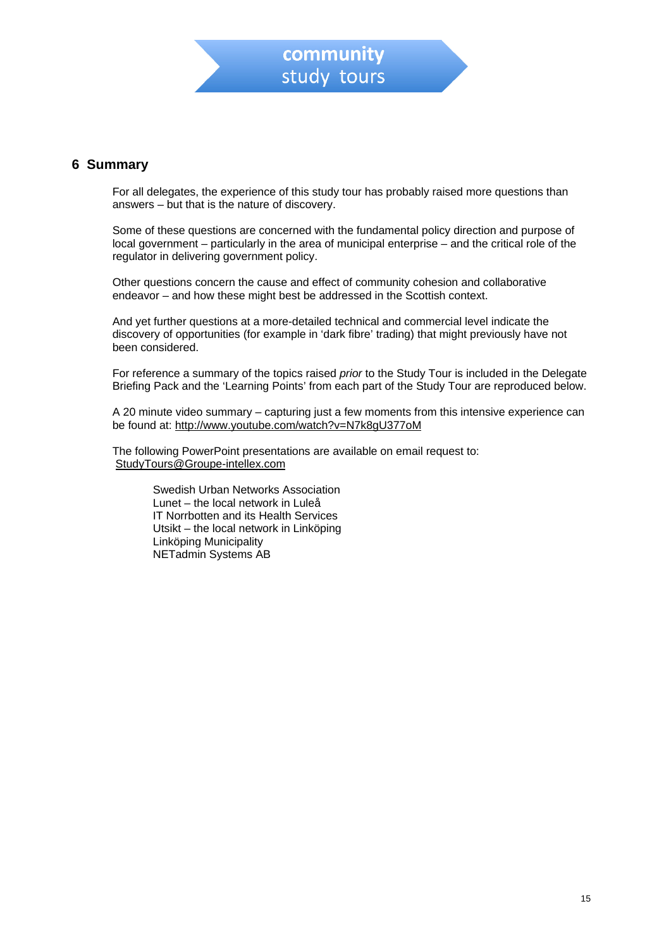

# **6 Summary**

For all delegates, the experience of this study tour has probably raised more questions than answers – but that is the nature of discovery.

Some of these questions are concerned with the fundamental policy direction and purpose of local government – particularly in the area of municipal enterprise – and the critical role of the regulator in delivering government policy.

Other questions concern the cause and effect of community cohesion and collaborative endeavor – and how these might best be addressed in the Scottish context.

And yet further questions at a more-detailed technical and commercial level indicate the discovery of opportunities (for example in 'dark fibre' trading) that might previously have not been considered.

For reference a summary of the topics raised *prior* to the Study Tour is included in the Delegate Briefing Pack and the 'Learning Points' from each part of the Study Tour are reproduced below.

A 20 minute video summary – capturing just a few moments from this intensive experience can be found at:<http://www.youtube.com/watch?v=N7k8gU377oM>

The following PowerPoint presentations are available on email request to: [StudyTours@Groupe-intellex.com](mailto:StudyTours@Groupe-intellex.com)

> Swedish Urban Networks Association Lunet – the local network in Luleå IT Norrbotten and its Health Services Utsikt – the local network in Linköping Linköping Municipality NETadmin Systems AB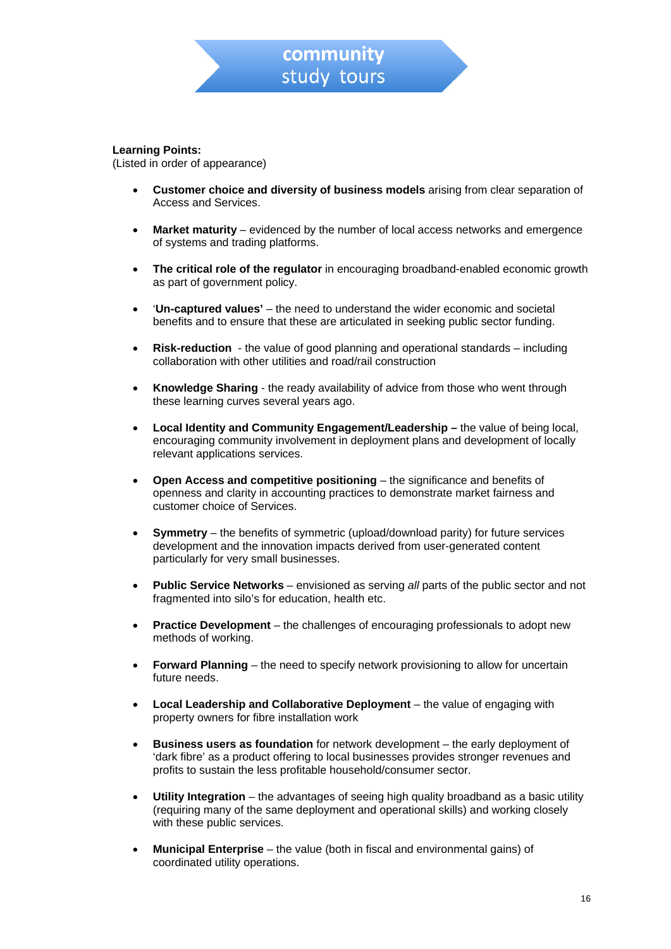#### **Learning Points:**

(Listed in order of appearance)

- **Customer choice and diversity of business models** arising from clear separation of Access and Services.
- **Market maturity** evidenced by the number of local access networks and emergence of systems and trading platforms.
- **The critical role of the regulator** in encouraging broadband-enabled economic growth as part of government policy.
- '**Un-captured values'** the need to understand the wider economic and societal benefits and to ensure that these are articulated in seeking public sector funding.
- **Risk-reduction** the value of good planning and operational standards including collaboration with other utilities and road/rail construction
- **Knowledge Sharing** the ready availability of advice from those who went through these learning curves several years ago.
- **Local Identity and Community Engagement/Leadership** the value of being local, encouraging community involvement in deployment plans and development of locally relevant applications services.
- **Open Access and competitive positioning** the significance and benefits of openness and clarity in accounting practices to demonstrate market fairness and customer choice of Services.
- **Symmetry** the benefits of symmetric (upload/download parity) for future services development and the innovation impacts derived from user-generated content particularly for very small businesses.
- **Public Service Networks** envisioned as serving *all* parts of the public sector and not fragmented into silo's for education, health etc.
- **Practice Development** the challenges of encouraging professionals to adopt new methods of working.
- **Forward Planning** the need to specify network provisioning to allow for uncertain future needs.
- **Local Leadership and Collaborative Deployment** the value of engaging with property owners for fibre installation work
- **Business users as foundation** for network development the early deployment of 'dark fibre' as a product offering to local businesses provides stronger revenues and profits to sustain the less profitable household/consumer sector.
- **Utility Integration** the advantages of seeing high quality broadband as a basic utility (requiring many of the same deployment and operational skills) and working closely with these public services.
- **Municipal Enterprise** the value (both in fiscal and environmental gains) of coordinated utility operations.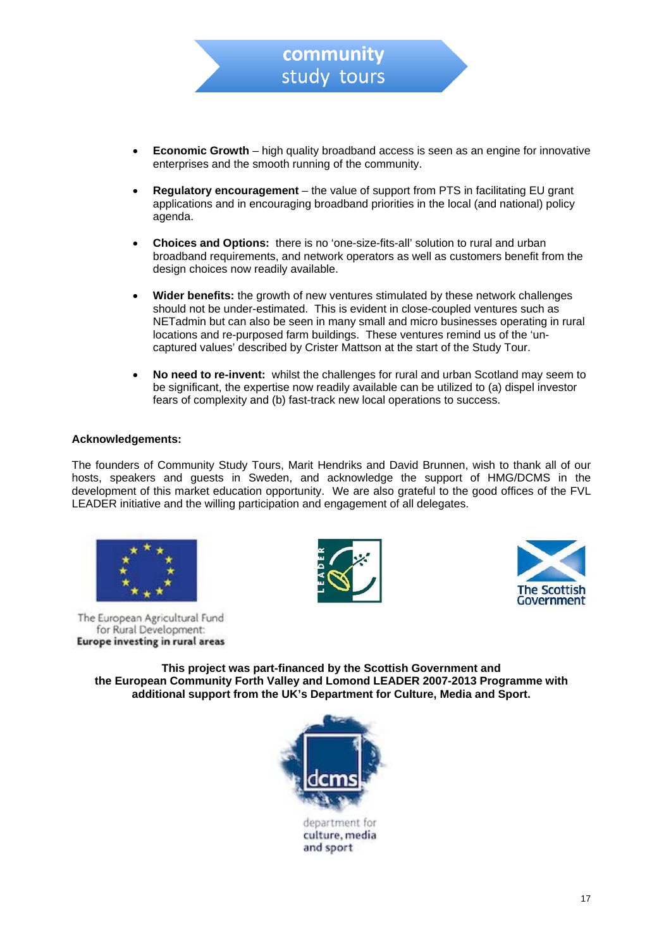

- **Regulatory encouragement** the value of support from PTS in facilitating EU grant applications and in encouraging broadband priorities in the local (and national) policy agenda.
- **Choices and Options:** there is no 'one-size-fits-all' solution to rural and urban broadband requirements, and network operators as well as customers benefit from the design choices now readily available.
- **Wider benefits:** the growth of new ventures stimulated by these network challenges should not be under-estimated. This is evident in close-coupled ventures such as NETadmin but can also be seen in many small and micro businesses operating in rural locations and re-purposed farm buildings. These ventures remind us of the 'uncaptured values' described by Crister Mattson at the start of the Study Tour.
- **No need to re-invent:** whilst the challenges for rural and urban Scotland may seem to be significant, the expertise now readily available can be utilized to (a) dispel investor fears of complexity and (b) fast-track new local operations to success.

#### **Acknowledgements:**

The founders of Community Study Tours, Marit Hendriks and David Brunnen, wish to thank all of our hosts, speakers and guests in Sweden, and acknowledge the support of HMG/DCMS in the development of this market education opportunity. We are also grateful to the good offices of the FVL LEADER initiative and the willing participation and engagement of all delegates.



The European Agricultural Fund for Rural Development: Europe investing in rural areas





**This project was part-financed by the Scottish Government and the European Community Forth Valley and Lomond LEADER 2007-2013 Programme with additional support from the UK's Department for Culture, Media and Sport.** 



culture, media and sport